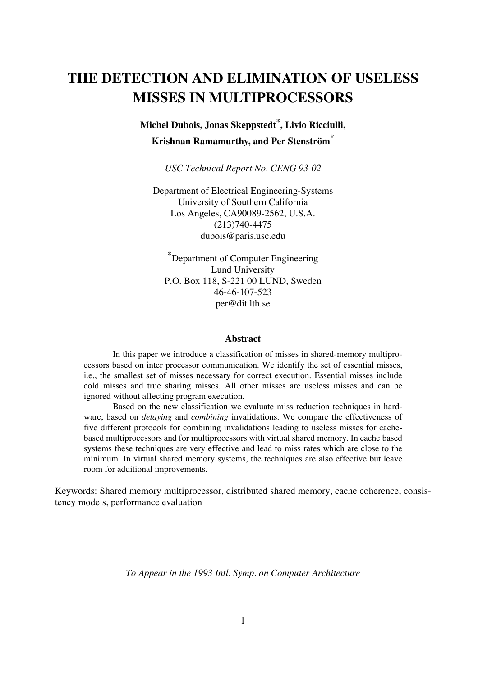# **THE DETECTION AND ELIMINATION OF USELESS MISSES IN MULTIPROCESSORS**

**Michel Dubois, Jonas Skeppstedt\*, Livio Ricciulli, Krishnan Ramamurthy, and Per Stenström\***

*USC Technical Report No. CENG 93-02*

Department of Electrical Engineering-Systems University of Southern California Los Angeles, CA90089-2562, U.S.A. (213)740-4475 dubois@paris.usc.edu

**\***Department of Computer Engineering Lund University P.O. Box 118, S-221 00 LUND, Sweden 46-46-107-523 per@dit.lth.se

#### **Abstract**

In this paper we introduce a classification of misses in shared-memory multiprocessors based on inter processor communication. We identify the set of essential misses, i.e., the smallest set of misses necessary for correct execution. Essential misses include cold misses and true sharing misses. All other misses are useless misses and can be ignored without affecting program execution.

Based on the new classification we evaluate miss reduction techniques in hardware, based on *delaying* and *combining* invalidations. We compare the effectiveness of five different protocols for combining invalidations leading to useless misses for cachebased multiprocessors and for multiprocessors with virtual shared memory. In cache based systems these techniques are very effective and lead to miss rates which are close to the minimum. In virtual shared memory systems, the techniques are also effective but leave room for additional improvements.

Keywords: Shared memory multiprocessor, distributed shared memory, cache coherence, consistency models, performance evaluation

*To Appear in the 1993 Intl. Symp. on Computer Architecture*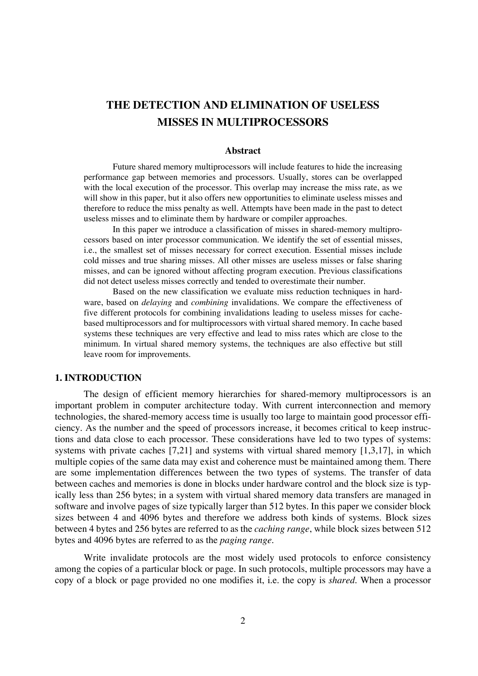# **THE DETECTION AND ELIMINATION OF USELESS MISSES IN MULTIPROCESSORS**

#### **Abstract**

Future shared memory multiprocessors will include features to hide the increasing performance gap between memories and processors. Usually, stores can be overlapped with the local execution of the processor. This overlap may increase the miss rate, as we will show in this paper, but it also offers new opportunities to eliminate useless misses and therefore to reduce the miss penalty as well. Attempts have been made in the past to detect useless misses and to eliminate them by hardware or compiler approaches.

In this paper we introduce a classification of misses in shared-memory multiprocessors based on inter processor communication. We identify the set of essential misses, i.e., the smallest set of misses necessary for correct execution. Essential misses include cold misses and true sharing misses. All other misses are useless misses or false sharing misses, and can be ignored without affecting program execution. Previous classifications did not detect useless misses correctly and tended to overestimate their number.

Based on the new classification we evaluate miss reduction techniques in hardware, based on *delaying* and *combining* invalidations. We compare the effectiveness of five different protocols for combining invalidations leading to useless misses for cachebased multiprocessors and for multiprocessors with virtual shared memory. In cache based systems these techniques are very effective and lead to miss rates which are close to the minimum. In virtual shared memory systems, the techniques are also effective but still leave room for improvements.

# **1. INTRODUCTION**

The design of efficient memory hierarchies for shared-memory multiprocessors is an important problem in computer architecture today. With current interconnection and memory technologies, the shared-memory access time is usually too large to maintain good processor efficiency. As the number and the speed of processors increase, it becomes critical to keep instructions and data close to each processor. These considerations have led to two types of systems: systems with private caches [7,21] and systems with virtual shared memory [1,3,17], in which multiple copies of the same data may exist and coherence must be maintained among them. There are some implementation differences between the two types of systems. The transfer of data between caches and memories is done in blocks under hardware control and the block size is typically less than 256 bytes; in a system with virtual shared memory data transfers are managed in software and involve pages of size typically larger than 512 bytes. In this paper we consider block sizes between 4 and 4096 bytes and therefore we address both kinds of systems. Block sizes between 4 bytes and 256 bytes are referred to as the *caching range*, while block sizes between 512 bytes and 4096 bytes are referred to as the *paging range*.

Write invalidate protocols are the most widely used protocols to enforce consistency among the copies of a particular block or page. In such protocols, multiple processors may have a copy of a block or page provided no one modifies it, i.e. the copy is *shared*. When a processor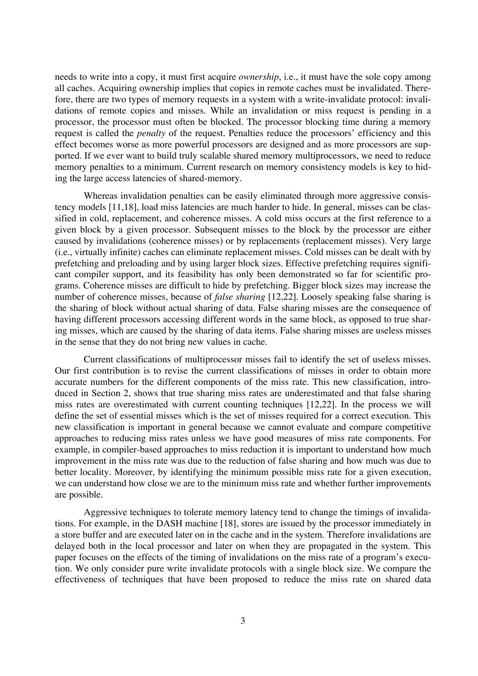needs to write into a copy, it must first acquire *ownership*, i.e., it must have the sole copy among all caches. Acquiring ownership implies that copies in remote caches must be invalidated. Therefore, there are two types of memory requests in a system with a write-invalidate protocol: invalidations of remote copies and misses. While an invalidation or miss request is pending in a processor, the processor must often be blocked. The processor blocking time during a memory request is called the *penalty* of the request*.* Penalties reduce the processors' efficiency and this effect becomes worse as more powerful processors are designed and as more processors are supported. If we ever want to build truly scalable shared memory multiprocessors, we need to reduce memory penalties to a minimum. Current research on memory consistency models is key to hiding the large access latencies of shared-memory.

Whereas invalidation penalties can be easily eliminated through more aggressive consistency models [11,18], load miss latencies are much harder to hide. In general, misses can be classified in cold, replacement, and coherence misses. A cold miss occurs at the first reference to a given block by a given processor. Subsequent misses to the block by the processor are either caused by invalidations (coherence misses) or by replacements (replacement misses). Very large (i.e., virtually infinite) caches can eliminate replacement misses. Cold misses can be dealt with by prefetching and preloading and by using larger block sizes. Effective prefetching requires significant compiler support, and its feasibility has only been demonstrated so far for scientific programs. Coherence misses are difficult to hide by prefetching. Bigger block sizes may increase the number of coherence misses, because of *false sharing* [12,22]. Loosely speaking false sharing is the sharing of block without actual sharing of data. False sharing misses are the consequence of having different processors accessing different words in the same block, as opposed to true sharing misses, which are caused by the sharing of data items. False sharing misses are useless misses in the sense that they do not bring new values in cache.

Current classifications of multiprocessor misses fail to identify the set of useless misses. Our first contribution is to revise the current classifications of misses in order to obtain more accurate numbers for the different components of the miss rate. This new classification, introduced in Section 2, shows that true sharing miss rates are underestimated and that false sharing miss rates are overestimated with current counting techniques [12,22]. In the process we will define the set of essential misses which is the set of misses required for a correct execution. This new classification is important in general because we cannot evaluate and compare competitive approaches to reducing miss rates unless we have good measures of miss rate components. For example, in compiler-based approaches to miss reduction it is important to understand how much improvement in the miss rate was due to the reduction of false sharing and how much was due to better locality. Moreover, by identifying the minimum possible miss rate for a given execution, we can understand how close we are to the minimum miss rate and whether further improvements are possible.

Aggressive techniques to tolerate memory latency tend to change the timings of invalidations. For example, in the DASH machine [18], stores are issued by the processor immediately in a store buffer and are executed later on in the cache and in the system. Therefore invalidations are delayed both in the local processor and later on when they are propagated in the system. This paper focuses on the effects of the timing of invalidations on the miss rate of a program's execution. We only consider pure write invalidate protocols with a single block size. We compare the effectiveness of techniques that have been proposed to reduce the miss rate on shared data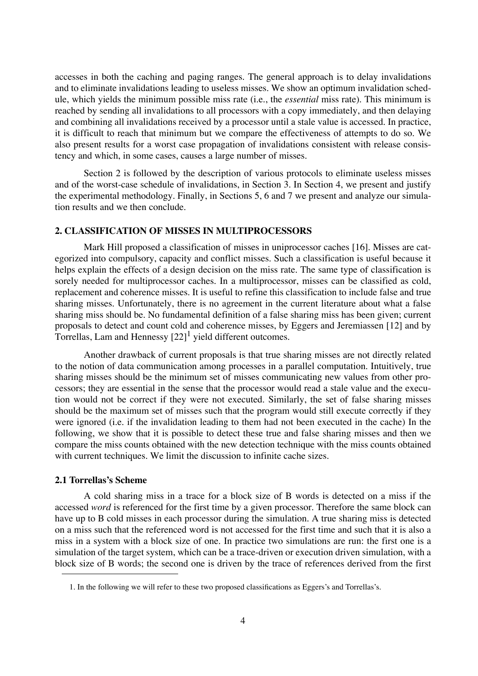accesses in both the caching and paging ranges. The general approach is to delay invalidations and to eliminate invalidations leading to useless misses. We show an optimum invalidation schedule, which yields the minimum possible miss rate (i.e., the *essential* miss rate). This minimum is reached by sending all invalidations to all processors with a copy immediately, and then delaying and combining all invalidations received by a processor until a stale value is accessed. In practice, it is difficult to reach that minimum but we compare the effectiveness of attempts to do so. We also present results for a worst case propagation of invalidations consistent with release consistency and which, in some cases, causes a large number of misses.

Section 2 is followed by the description of various protocols to eliminate useless misses and of the worst-case schedule of invalidations, in Section 3. In Section 4, we present and justify the experimental methodology. Finally, in Sections 5, 6 and 7 we present and analyze our simulation results and we then conclude.

#### **2. CLASSIFICATION OF MISSES IN MULTIPROCESSORS**

Mark Hill proposed a classification of misses in uniprocessor caches [16]. Misses are categorized into compulsory, capacity and conflict misses. Such a classification is useful because it helps explain the effects of a design decision on the miss rate. The same type of classification is sorely needed for multiprocessor caches. In a multiprocessor, misses can be classified as cold, replacement and coherence misses. It is useful to refine this classification to include false and true sharing misses. Unfortunately, there is no agreement in the current literature about what a false sharing miss should be. No fundamental definition of a false sharing miss has been given; current proposals to detect and count cold and coherence misses, by Eggers and Jeremiassen [12] and by Torrellas, Lam and Hennessy  $[22]$ <sup>1</sup> yield different outcomes.

Another drawback of current proposals is that true sharing misses are not directly related to the notion of data communication among processes in a parallel computation. Intuitively, true sharing misses should be the minimum set of misses communicating new values from other processors; they are essential in the sense that the processor would read a stale value and the execution would not be correct if they were not executed. Similarly, the set of false sharing misses should be the maximum set of misses such that the program would still execute correctly if they were ignored (i.e. if the invalidation leading to them had not been executed in the cache) In the following, we show that it is possible to detect these true and false sharing misses and then we compare the miss counts obtained with the new detection technique with the miss counts obtained with current techniques. We limit the discussion to infinite cache sizes.

#### **2.1 Torrellas's Scheme**

A cold sharing miss in a trace for a block size of B words is detected on a miss if the accessed *word* is referenced for the first time by a given processor. Therefore the same block can have up to B cold misses in each processor during the simulation. A true sharing miss is detected on a miss such that the referenced word is not accessed for the first time and such that it is also a miss in a system with a block size of one. In practice two simulations are run: the first one is a simulation of the target system, which can be a trace-driven or execution driven simulation, with a block size of B words; the second one is driven by the trace of references derived from the first

<sup>1.</sup> In the following we will refer to these two proposed classifications as Eggers's and Torrellas's.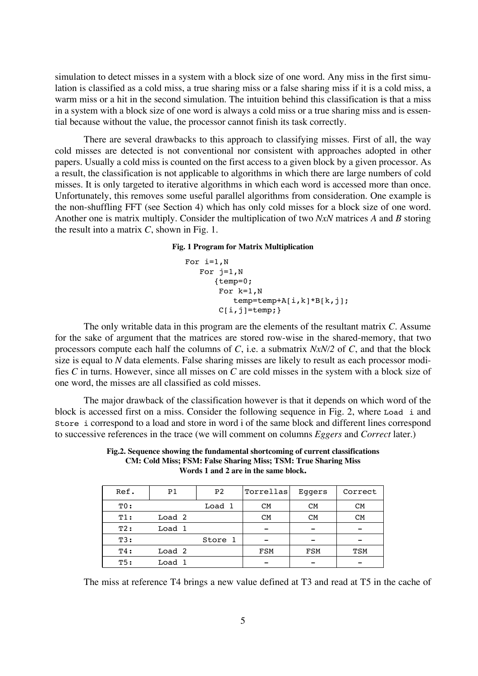simulation to detect misses in a system with a block size of one word. Any miss in the first simulation is classified as a cold miss, a true sharing miss or a false sharing miss if it is a cold miss, a warm miss or a hit in the second simulation. The intuition behind this classification is that a miss in a system with a block size of one word is always a cold miss or a true sharing miss and is essential because without the value, the processor cannot finish its task correctly.

There are several drawbacks to this approach to classifying misses. First of all, the way cold misses are detected is not conventional nor consistent with approaches adopted in other papers. Usually a cold miss is counted on the first access to a given block by a given processor. As a result, the classification is not applicable to algorithms in which there are large numbers of cold misses. It is only targeted to iterative algorithms in which each word is accessed more than once. Unfortunately, this removes some useful parallel algorithms from consideration. One example is the non-shuffling FFT (see Section 4) which has only cold misses for a block size of one word. Another one is matrix multiply. Consider the multiplication of two *NxN* matrices *A* and *B* storing the result into a matrix *C*, shown in Fig. 1.

#### **Fig. 1 Program for Matrix Multiplication**

```
For i=1,N
  For j=1,N{temp=0;
        For k=1,N
           temp=temp+A[i,k]*B[k,j];
       C[i,j]=temp;
```
The only writable data in this program are the elements of the resultant matrix *C*. Assume for the sake of argument that the matrices are stored row-wise in the shared-memory, that two processors compute each half the columns of *C*, i.e. a submatrix *NxN/2* of *C*, and that the block size is equal to *N* data elements. False sharing misses are likely to result as each processor modifies *C* in turns. However, since all misses on *C* are cold misses in the system with a block size of one word, the misses are all classified as cold misses.

The major drawback of the classification however is that it depends on which word of the block is accessed first on a miss. Consider the following sequence in Fig. 2, where Load i and Store i correspond to a load and store in word i of the same block and different lines correspond to successive references in the trace (we will comment on columns *Eggers* and *Correct* later.)

| Fig.2. Sequence showing the fundamental shortcoming of current classifications |
|--------------------------------------------------------------------------------|
| <b>CM: Cold Miss; FSM: False Sharing Miss; TSM: True Sharing Miss</b>          |
| Words 1 and 2 are in the same block.                                           |

| Ref.       | P <sub>1</sub>    | P <sub>2</sub> | Torrellas  | Eqqers     | Correct    |
|------------|-------------------|----------------|------------|------------|------------|
| TO:        |                   | Load 1         | CМ         | <b>CM</b>  | <b>CM</b>  |
| $T1$ :     | Load <sub>2</sub> |                | <b>CM</b>  | <b>CM</b>  | CM         |
| T2:        | Load 1            |                |            |            |            |
| <b>T3:</b> |                   | Store 1        |            |            |            |
| $T4$ :     | Load 2            |                | <b>FSM</b> | <b>FSM</b> | <b>TSM</b> |
| <b>T5:</b> | Load 1            |                |            |            |            |

The miss at reference T4 brings a new value defined at T3 and read at T5 in the cache of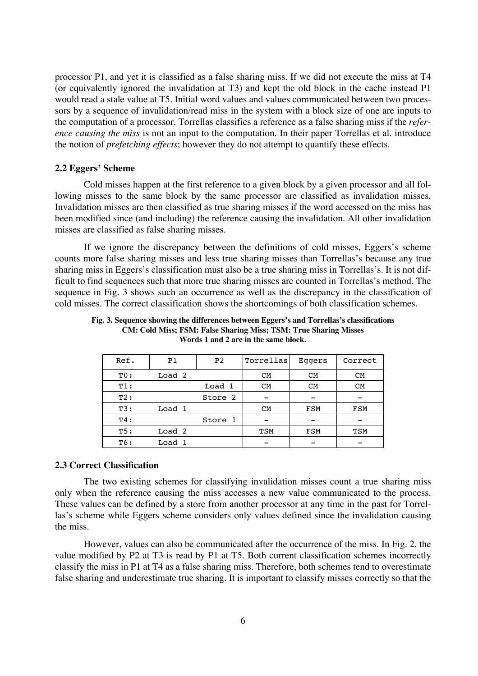processor P1, and yet it is classified as a false sharing miss. If we did not execute the miss at T4 (or equivalently ignored the invalidation at T3) and kept the old block in the cache instead P1 would read a stale value at T5. Initial word values and values communicated between two processors by a sequence of invalidation/read miss in the system with a block size of one are inputs to the computation of a processor. Torrellas classifies a reference as a false sharing miss if the *reference causing the miss* is not an input to the computation. In their paper Torrellas et al. introduce the notion of *prefetching effects*; however they do not attempt to quantify these effects.

#### **2.2 Eggers' Scheme**

Cold misses happen at the first reference to a given block by a given processor and all following misses to the same block by the same processor are classified as invalidation misses. Invalidation misses are then classified as true sharing misses if the word accessed on the miss has been modified since (and including) the reference causing the invalidation. All other invalidation misses are classified as false sharing misses.

If we ignore the discrepancy between the definitions of cold misses, Eggers's scheme counts more false sharing misses and less true sharing misses than Torrellas's because any true sharing miss in Eggers's classification must also be a true sharing miss in Torrellas's. It is not difficult to find sequences such that more true sharing misses are counted in Torrellas's method. The sequence in Fig. 3 shows such an occurrence as well as the discrepancy in the classification of cold misses. The correct classification shows the shortcomings of both classification schemes.

| Ref.             | P <sub>1</sub>    | P <sub>2</sub> | Torrellas | Eqqers     | Correct |
|------------------|-------------------|----------------|-----------|------------|---------|
| TO:              | Load <sub>2</sub> |                | <b>CM</b> | <b>CM</b>  | CM      |
| $T1$ :           |                   | Load 1         | <b>CM</b> | <b>CM</b>  | CM      |
| $T2$ :           |                   | Store 2        |           |            |         |
| $T3$ :           | Load 1            |                | <b>CM</b> | <b>FSM</b> | FSM     |
| $T4$ :           |                   | Store 1        |           |            |         |
| T5:              | Load 2            |                | TSM       | FSM        | TSM     |
| T <sub>6</sub> : | Load 1            |                |           |            |         |

**Fig. 3. Sequence showing the differences between Eggers's and Torrellas's classifications CM: Cold Miss; FSM: False Sharing Miss; TSM: True Sharing Misses Words 1 and 2 are in the same block.**

#### **2.3 Correct Classification**

The two existing schemes for classifying invalidation misses count a true sharing miss only when the reference causing the miss accesses a new value communicated to the process. These values can be defined by a store from another processor at any time in the past for Torrellas's scheme while Eggers scheme considers only values defined since the invalidation causing the miss.

However, values can also be communicated after the occurrence of the miss. In Fig. 2, the value modified by P2 at T3 is read by P1 at T5. Both current classification schemes incorrectly classify the miss in P1 at T4 as a false sharing miss. Therefore, both schemes tend to overestimate false sharing and underestimate true sharing. It is important to classify misses correctly so that the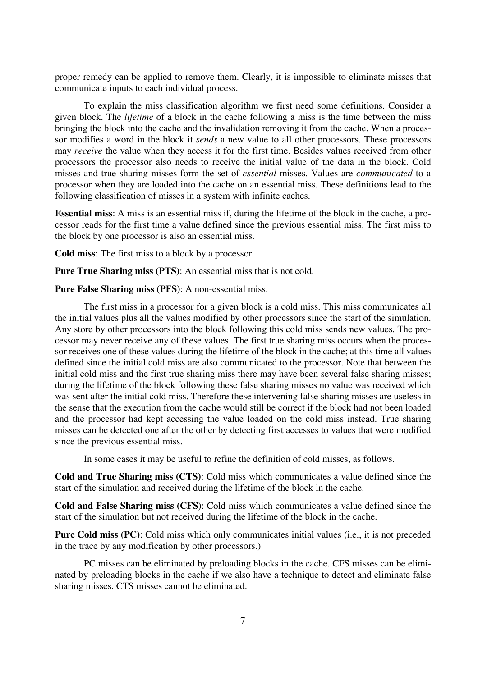proper remedy can be applied to remove them. Clearly, it is impossible to eliminate misses that communicate inputs to each individual process.

To explain the miss classification algorithm we first need some definitions. Consider a given block. The *lifetime* of a block in the cache following a miss is the time between the miss bringing the block into the cache and the invalidation removing it from the cache. When a processor modifies a word in the block it *sends* a new value to all other processors. These processors may *receive* the value when they access it for the first time. Besides values received from other processors the processor also needs to receive the initial value of the data in the block. Cold misses and true sharing misses form the set of *essential* misses. Values are *communicated* to a processor when they are loaded into the cache on an essential miss. These definitions lead to the following classification of misses in a system with infinite caches.

**Essential miss**: A miss is an essential miss if, during the lifetime of the block in the cache, a processor reads for the first time a value defined since the previous essential miss. The first miss to the block by one processor is also an essential miss.

**Cold miss**: The first miss to a block by a processor.

**Pure True Sharing miss (PTS)**: An essential miss that is not cold.

**Pure False Sharing miss (PFS)**: A non-essential miss.

The first miss in a processor for a given block is a cold miss. This miss communicates all the initial values plus all the values modified by other processors since the start of the simulation. Any store by other processors into the block following this cold miss sends new values. The processor may never receive any of these values. The first true sharing miss occurs when the processor receives one of these values during the lifetime of the block in the cache; at this time all values defined since the initial cold miss are also communicated to the processor. Note that between the initial cold miss and the first true sharing miss there may have been several false sharing misses; during the lifetime of the block following these false sharing misses no value was received which was sent after the initial cold miss. Therefore these intervening false sharing misses are useless in the sense that the execution from the cache would still be correct if the block had not been loaded and the processor had kept accessing the value loaded on the cold miss instead. True sharing misses can be detected one after the other by detecting first accesses to values that were modified since the previous essential miss.

In some cases it may be useful to refine the definition of cold misses, as follows.

**Cold and True Sharing miss (CTS)**: Cold miss which communicates a value defined since the start of the simulation and received during the lifetime of the block in the cache.

**Cold and False Sharing miss (CFS)**: Cold miss which communicates a value defined since the start of the simulation but not received during the lifetime of the block in the cache.

**Pure Cold miss (PC)**: Cold miss which only communicates initial values (i.e., it is not preceded in the trace by any modification by other processors.)

PC misses can be eliminated by preloading blocks in the cache. CFS misses can be eliminated by preloading blocks in the cache if we also have a technique to detect and eliminate false sharing misses. CTS misses cannot be eliminated.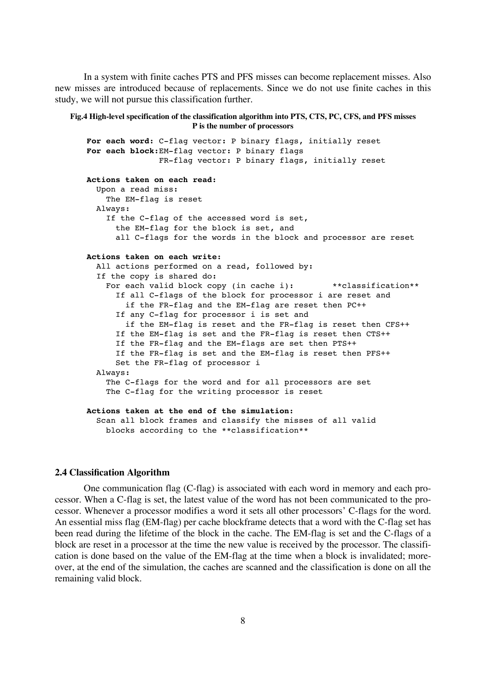In a system with finite caches PTS and PFS misses can become replacement misses. Also new misses are introduced because of replacements. Since we do not use finite caches in this study, we will not pursue this classification further.

#### **Fig.4 High-level specification of the classification algorithm into PTS, CTS, PC, CFS, and PFS misses P is the number of processors**

```
For each word: C-flag vector: P binary flags, initially reset
For each block:EM-flag vector: P binary flags
               FR-flag vector: P binary flags, initially reset
Actions taken on each read:
  Upon a read miss:
    The EM-flag is reset
  Always:
    If the C-flag of the accessed word is set,
      the EM-flag for the block is set, and
      all C-flags for the words in the block and processor are reset
Actions taken on each write:
  All actions performed on a read, followed by:
  If the copy is shared do:
    For each valid block copy (in cache i): ** classification**
      If all C-flags of the block for processor i are reset and
        if the FR-flag and the EM-flag are reset then PC++
      If any C-flag for processor i is set and
        if the EM-flag is reset and the FR-flag is reset then CFS++
      If the EM-flag is set and the FR-flag is reset then CTS++
      If the FR-flag and the EM-flags are set then PTS++
      If the FR-flag is set and the EM-flag is reset then PFS++
      Set the FR-flag of processor i
  Always:
    The C-flags for the word and for all processors are set
    The C-flag for the writing processor is reset
Actions taken at the end of the simulation:
  Scan all block frames and classify the misses of all valid
    blocks according to the **classification**
```
#### **2.4 Classification Algorithm**

One communication flag (C-flag) is associated with each word in memory and each processor. When a C-flag is set, the latest value of the word has not been communicated to the processor. Whenever a processor modifies a word it sets all other processors' C-flags for the word. An essential miss flag (EM-flag) per cache blockframe detects that a word with the C-flag set has been read during the lifetime of the block in the cache. The EM-flag is set and the C-flags of a block are reset in a processor at the time the new value is received by the processor. The classification is done based on the value of the EM-flag at the time when a block is invalidated; moreover, at the end of the simulation, the caches are scanned and the classification is done on all the remaining valid block.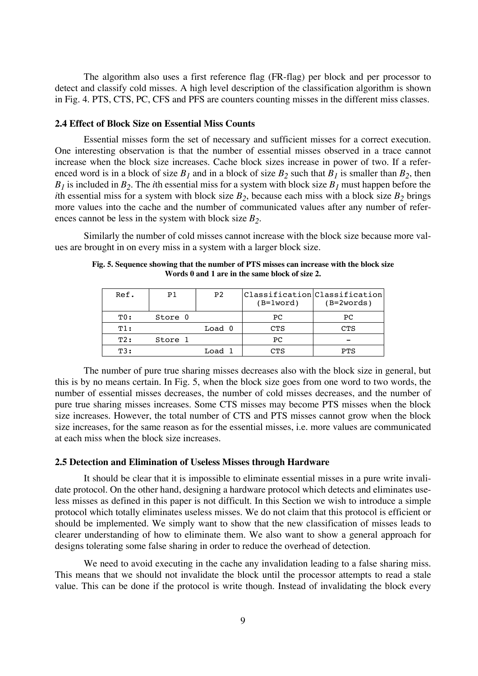The algorithm also uses a first reference flag (FR-flag) per block and per processor to detect and classify cold misses. A high level description of the classification algorithm is shown in Fig. 4. PTS, CTS, PC, CFS and PFS are counters counting misses in the different miss classes.

#### **2.4 Effect of Block Size on Essential Miss Counts**

Essential misses form the set of necessary and sufficient misses for a correct execution. One interesting observation is that the number of essential misses observed in a trace cannot increase when the block size increases. Cache block sizes increase in power of two. If a referenced word is in a block of size  $B_1$  and in a block of size  $B_2$  such that  $B_1$  is smaller than  $B_2$ , then  $B_1$  is included in  $B_2$ . The *i*th essential miss for a system with block size  $B_1$  must happen before the *i*th essential miss for a system with block size  $B_2$ , because each miss with a block size  $B_2$  brings more values into the cache and the number of communicated values after any number of references cannot be less in the system with block size  $B_2$ .

Similarly the number of cold misses cannot increase with the block size because more values are brought in on every miss in a system with a larger block size.

| Ref.       | P1      | P <sub>2</sub> | $(B=1word)$ | Classification Classification<br>$(B=2words)$ |
|------------|---------|----------------|-------------|-----------------------------------------------|
| $T0$ :     | Store 0 |                | PC.         | <b>PC</b>                                     |
| $T1$ :     |         | Load 0         | CTS         | CTS                                           |
| T2:        | Store 1 |                | PC.         |                                               |
| <b>T3:</b> |         | Load 1         | CTS         | PTS                                           |

**Fig. 5. Sequence showing that the number of PTS misses can increase with the block size Words 0 and 1 are in the same block of size 2.**

The number of pure true sharing misses decreases also with the block size in general, but this is by no means certain. In Fig. 5, when the block size goes from one word to two words, the number of essential misses decreases, the number of cold misses decreases, and the number of pure true sharing misses increases. Some CTS misses may become PTS misses when the block size increases. However, the total number of CTS and PTS misses cannot grow when the block size increases, for the same reason as for the essential misses, i.e. more values are communicated at each miss when the block size increases.

#### **2.5 Detection and Elimination of Useless Misses through Hardware**

It should be clear that it is impossible to eliminate essential misses in a pure write invalidate protocol. On the other hand, designing a hardware protocol which detects and eliminates useless misses as defined in this paper is not difficult. In this Section we wish to introduce a simple protocol which totally eliminates useless misses. We do not claim that this protocol is efficient or should be implemented. We simply want to show that the new classification of misses leads to clearer understanding of how to eliminate them. We also want to show a general approach for designs tolerating some false sharing in order to reduce the overhead of detection.

We need to avoid executing in the cache any invalidation leading to a false sharing miss. This means that we should not invalidate the block until the processor attempts to read a stale value. This can be done if the protocol is write though. Instead of invalidating the block every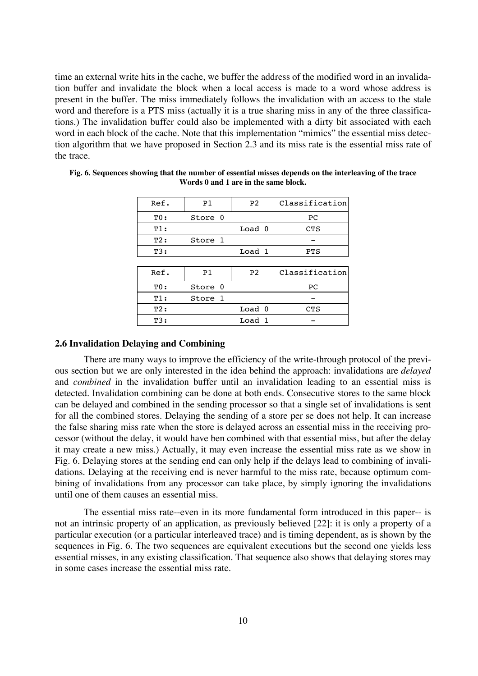time an external write hits in the cache, we buffer the address of the modified word in an invalidation buffer and invalidate the block when a local access is made to a word whose address is present in the buffer. The miss immediately follows the invalidation with an access to the stale word and therefore is a PTS miss (actually it is a true sharing miss in any of the three classifications.) The invalidation buffer could also be implemented with a dirty bit associated with each word in each block of the cache. Note that this implementation "mimics" the essential miss detection algorithm that we have proposed in Section 2.3 and its miss rate is the essential miss rate of the trace.

| Ref.   | P <sub>1</sub> | P <sub>2</sub> | Classification |
|--------|----------------|----------------|----------------|
| $T0$ : | Store 0        |                | PC             |
| $T1$ : |                | Load 0         | <b>CTS</b>     |
| T2:    | Store 1        |                |                |
| T3:    |                | Load 1         | <b>PTS</b>     |
|        |                |                |                |
| Ref.   | P <sub>1</sub> | P <sub>2</sub> | Classification |
| TO:    | Store 0        |                | PC             |
| $T1$ : | Store 1        |                |                |
| T2:    |                | Load 0         | CTS            |
| T3:    |                | Load           |                |

| Fig. 6. Sequences showing that the number of essential misses depends on the interleaving of the trace |  |
|--------------------------------------------------------------------------------------------------------|--|
| Words 0 and 1 are in the same block.                                                                   |  |

#### **2.6 Invalidation Delaying and Combining**

There are many ways to improve the efficiency of the write-through protocol of the previous section but we are only interested in the idea behind the approach: invalidations are *delayed* and *combined* in the invalidation buffer until an invalidation leading to an essential miss is detected. Invalidation combining can be done at both ends. Consecutive stores to the same block can be delayed and combined in the sending processor so that a single set of invalidations is sent for all the combined stores. Delaying the sending of a store per se does not help. It can increase the false sharing miss rate when the store is delayed across an essential miss in the receiving processor (without the delay, it would have ben combined with that essential miss, but after the delay it may create a new miss.) Actually, it may even increase the essential miss rate as we show in Fig. 6. Delaying stores at the sending end can only help if the delays lead to combining of invalidations. Delaying at the receiving end is never harmful to the miss rate, because optimum combining of invalidations from any processor can take place, by simply ignoring the invalidations until one of them causes an essential miss.

The essential miss rate--even in its more fundamental form introduced in this paper-- is not an intrinsic property of an application, as previously believed [22]: it is only a property of a particular execution (or a particular interleaved trace) and is timing dependent, as is shown by the sequences in Fig. 6. The two sequences are equivalent executions but the second one yields less essential misses, in any existing classification. That sequence also shows that delaying stores may in some cases increase the essential miss rate.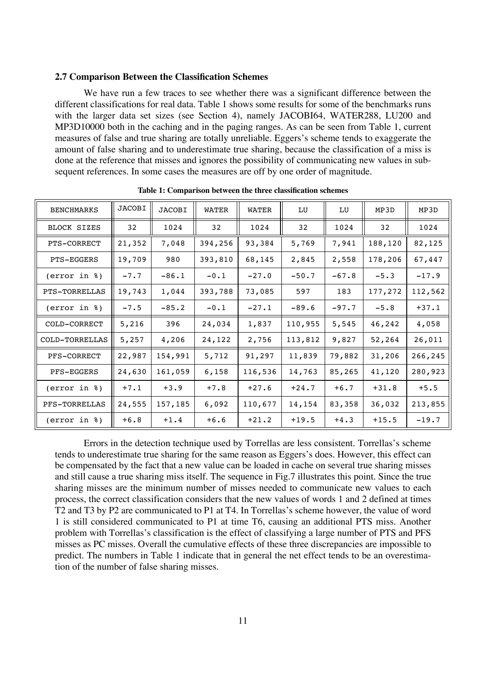#### **2.7 Comparison Between the Classification Schemes**

We have run a few traces to see whether there was a significant difference between the different classifications for real data. Table 1 shows some results for some of the benchmarks runs with the larger data set sizes (see Section 4), namely JACOBI64, WATER288, LU200 and MP3D10000 both in the caching and in the paging ranges. As can be seen from Table 1, current measures of false and true sharing are totally unreliable. Eggers's scheme tends to exaggerate the amount of false sharing and to underestimate true sharing, because the classification of a miss is done at the reference that misses and ignores the possibility of communicating new values in subsequent references. In some cases the measures are off by one order of magnitude.

| <b>BENCHMARKS</b>      | <b>JACOBI</b> | <b>JACOBI</b> | <b>WATER</b> | <b>WATER</b> | LU      | LU      | MP3D    | MP3D    |
|------------------------|---------------|---------------|--------------|--------------|---------|---------|---------|---------|
| <b>BLOCK SIZES</b>     | 32            | 1024          | 32           | 1024         | 32      | 1024    | 32      | 1024    |
| <b>PTS-CORRECT</b>     | 21,352        | 7,048         | 394,256      | 93,384       | 5,769   | 7,941   | 188,120 | 82,125  |
| <b>PTS-EGGERS</b>      | 19,709        | 980           | 393,810      | 68,145       | 2,845   | 2,558   | 178,206 | 67,447  |
| (error in $\epsilon$ ) | $-7.7$        | $-86.1$       | $-0.1$       | $-27.0$      | $-50.7$ | $-67.8$ | $-5.3$  | $-17.9$ |
| PTS-TORRELLAS          | 19,743        | 1,044         | 393,788      | 73,085       | 597     | 183     | 177,272 | 112,562 |
| (error in §)           | $-7.5$        | $-85.2$       | $-0.1$       | $-27.1$      | $-89.6$ | $-97.7$ | $-5.8$  | $+37.1$ |
| COLD-CORRECT           | 5,216         | 396           | 24,034       | 1,837        | 110,955 | 5,545   | 46,242  | 4,058   |
| COLD-TORRELLAS         | 5,257         | 4,206         | 24,122       | 2,756        | 113,812 | 9,827   | 52,264  | 26,011  |
| PFS-CORRECT            | 22,987        | 154,991       | 5,712        | 91,297       | 11,839  | 79,882  | 31,206  | 266,245 |
| <b>PFS-EGGERS</b>      | 24,630        | 161,059       | 6,158        | 116,536      | 14,763  | 85,265  | 41,120  | 280,923 |
| (error in $\epsilon$ ) | $+7.1$        | $+3.9$        | $+7.8$       | $+27.6$      | $+24.7$ | $+6.7$  | $+31.8$ | $+5.5$  |
| PFS-TORRELLAS          | 24,555        | 157,185       | 6,092        | 110,677      | 14,154  | 83,358  | 36,032  | 213,855 |
| (error in §)           | $+6.8$        | $+1.4$        | $+6.6$       | $+21.2$      | $+19.5$ | $+4.3$  | $+15.5$ | $-19.7$ |

**Table 1: Comparison between the three classification schemes**

Errors in the detection technique used by Torrellas are less consistent. Torrellas's scheme tends to underestimate true sharing for the same reason as Eggers's does. However, this effect can be compensated by the fact that a new value can be loaded in cache on several true sharing misses and still cause a true sharing miss itself. The sequence in Fig.7 illustrates this point. Since the true sharing misses are the minimum number of misses needed to communicate new values to each process, the correct classification considers that the new values of words 1 and 2 defined at times T2 and T3 by P2 are communicated to P1 at T4. In Torrellas's scheme however, the value of word 1 is still considered communicated to P1 at time T6, causing an additional PTS miss. Another problem with Torrellas's classification is the effect of classifying a large number of PTS and PFS misses as PC misses. Overall the cumulative effects of these three discrepancies are impossible to predict. The numbers in Table 1 indicate that in general the net effect tends to be an overestimation of the number of false sharing misses.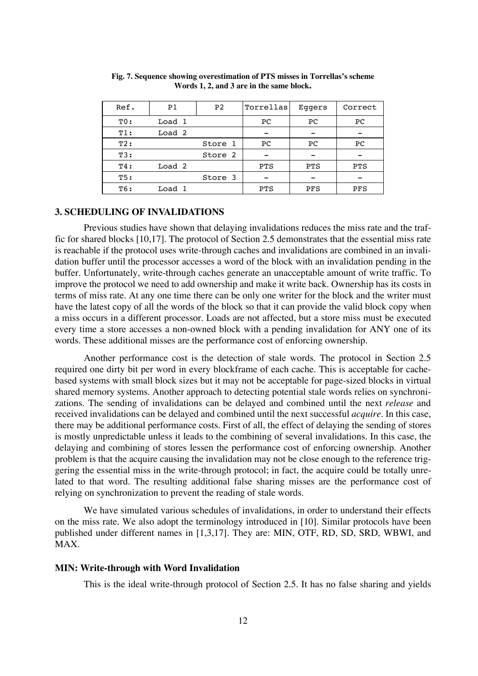| Ref.   | P <sub>1</sub>    | P <sub>2</sub> | Torrellas   | Eqqers     | Correct     |
|--------|-------------------|----------------|-------------|------------|-------------|
| TO:    | Load 1            |                | $_{\rm PC}$ | PC         | $_{\rm PC}$ |
| $T1$ : | Load 2            |                |             |            |             |
| T2:    |                   | Store 1        | PC          | PC         | PC          |
| $T3$ : |                   | Store 2        |             |            |             |
| T4:    | Load <sub>2</sub> |                | <b>PTS</b>  | <b>PTS</b> | <b>PTS</b>  |
| T5:    |                   | Store 3        |             |            |             |
| T6:    | Load 1            |                | PTS         | PFS        | PFS         |

**Fig. 7. Sequence showing overestimation of PTS misses in Torrellas's scheme Words 1, 2, and 3 are in the same block.**

#### **3. SCHEDULING OF INVALIDATIONS**

Previous studies have shown that delaying invalidations reduces the miss rate and the traffic for shared blocks [10,17]. The protocol of Section 2.5 demonstrates that the essential miss rate is reachable if the protocol uses write-through caches and invalidations are combined in an invalidation buffer until the processor accesses a word of the block with an invalidation pending in the buffer. Unfortunately, write-through caches generate an unacceptable amount of write traffic. To improve the protocol we need to add ownership and make it write back. Ownership has its costs in terms of miss rate. At any one time there can be only one writer for the block and the writer must have the latest copy of all the words of the block so that it can provide the valid block copy when a miss occurs in a different processor. Loads are not affected, but a store miss must be executed every time a store accesses a non-owned block with a pending invalidation for ANY one of its words. These additional misses are the performance cost of enforcing ownership.

Another performance cost is the detection of stale words. The protocol in Section 2.5 required one dirty bit per word in every blockframe of each cache. This is acceptable for cachebased systems with small block sizes but it may not be acceptable for page-sized blocks in virtual shared memory systems. Another approach to detecting potential stale words relies on synchronizations. The sending of invalidations can be delayed and combined until the next *release* and received invalidations can be delayed and combined until the next successful *acquire*. In this case, there may be additional performance costs. First of all, the effect of delaying the sending of stores is mostly unpredictable unless it leads to the combining of several invalidations. In this case, the delaying and combining of stores lessen the performance cost of enforcing ownership. Another problem is that the acquire causing the invalidation may not be close enough to the reference triggering the essential miss in the write-through protocol; in fact, the acquire could be totally unrelated to that word. The resulting additional false sharing misses are the performance cost of relying on synchronization to prevent the reading of stale words.

We have simulated various schedules of invalidations, in order to understand their effects on the miss rate. We also adopt the terminology introduced in [10]. Similar protocols have been published under different names in [1,3,17]. They are: MIN, OTF, RD, SD, SRD, WBWI, and MAX.

#### **MIN: Write-through with Word Invalidation**

This is the ideal write-through protocol of Section 2.5. It has no false sharing and yields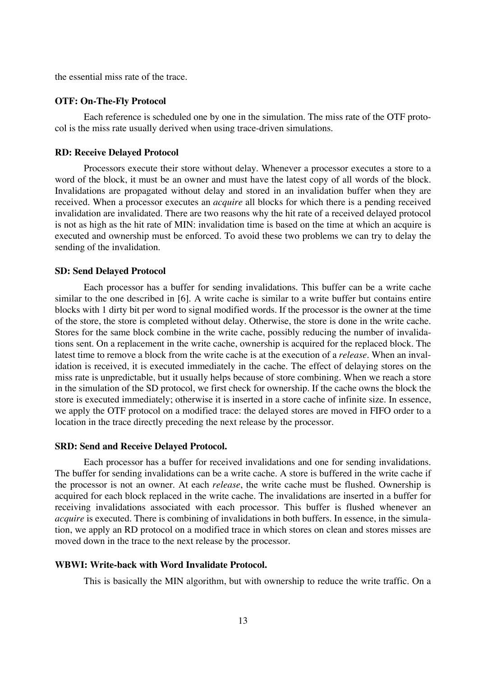the essential miss rate of the trace.

#### **OTF: On-The-Fly Protocol**

Each reference is scheduled one by one in the simulation. The miss rate of the OTF protocol is the miss rate usually derived when using trace-driven simulations.

#### **RD: Receive Delayed Protocol**

Processors execute their store without delay. Whenever a processor executes a store to a word of the block, it must be an owner and must have the latest copy of all words of the block. Invalidations are propagated without delay and stored in an invalidation buffer when they are received. When a processor executes an *acquire* all blocks for which there is a pending received invalidation are invalidated. There are two reasons why the hit rate of a received delayed protocol is not as high as the hit rate of MIN: invalidation time is based on the time at which an acquire is executed and ownership must be enforced. To avoid these two problems we can try to delay the sending of the invalidation.

## **SD: Send Delayed Protocol**

Each processor has a buffer for sending invalidations. This buffer can be a write cache similar to the one described in [6]. A write cache is similar to a write buffer but contains entire blocks with 1 dirty bit per word to signal modified words. If the processor is the owner at the time of the store, the store is completed without delay. Otherwise, the store is done in the write cache. Stores for the same block combine in the write cache, possibly reducing the number of invalidations sent. On a replacement in the write cache, ownership is acquired for the replaced block. The latest time to remove a block from the write cache is at the execution of a *release*. When an invalidation is received, it is executed immediately in the cache. The effect of delaying stores on the miss rate is unpredictable, but it usually helps because of store combining. When we reach a store in the simulation of the SD protocol, we first check for ownership. If the cache owns the block the store is executed immediately; otherwise it is inserted in a store cache of infinite size. In essence, we apply the OTF protocol on a modified trace: the delayed stores are moved in FIFO order to a location in the trace directly preceding the next release by the processor.

#### **SRD: Send and Receive Delayed Protocol.**

Each processor has a buffer for received invalidations and one for sending invalidations. The buffer for sending invalidations can be a write cache. A store is buffered in the write cache if the processor is not an owner. At each *release*, the write cache must be flushed. Ownership is acquired for each block replaced in the write cache. The invalidations are inserted in a buffer for receiving invalidations associated with each processor. This buffer is flushed whenever an *acquire* is executed. There is combining of invalidations in both buffers. In essence, in the simulation, we apply an RD protocol on a modified trace in which stores on clean and stores misses are moved down in the trace to the next release by the processor.

#### **WBWI: Write-back with Word Invalidate Protocol.**

This is basically the MIN algorithm, but with ownership to reduce the write traffic. On a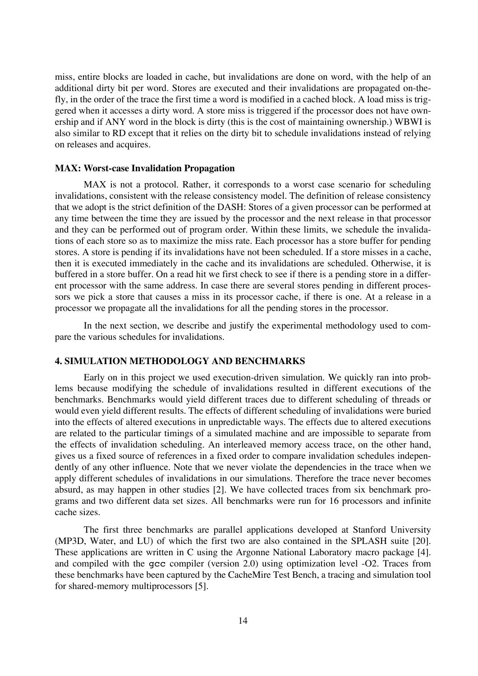miss, entire blocks are loaded in cache, but invalidations are done on word, with the help of an additional dirty bit per word. Stores are executed and their invalidations are propagated on-thefly, in the order of the trace the first time a word is modified in a cached block. A load miss is triggered when it accesses a dirty word. A store miss is triggered if the processor does not have ownership and if ANY word in the block is dirty (this is the cost of maintaining ownership.) WBWI is also similar to RD except that it relies on the dirty bit to schedule invalidations instead of relying on releases and acquires.

#### **MAX: Worst-case Invalidation Propagation**

MAX is not a protocol. Rather, it corresponds to a worst case scenario for scheduling invalidations, consistent with the release consistency model. The definition of release consistency that we adopt is the strict definition of the DASH: Stores of a given processor can be performed at any time between the time they are issued by the processor and the next release in that processor and they can be performed out of program order. Within these limits, we schedule the invalidations of each store so as to maximize the miss rate. Each processor has a store buffer for pending stores. A store is pending if its invalidations have not been scheduled. If a store misses in a cache, then it is executed immediately in the cache and its invalidations are scheduled. Otherwise, it is buffered in a store buffer. On a read hit we first check to see if there is a pending store in a different processor with the same address. In case there are several stores pending in different processors we pick a store that causes a miss in its processor cache, if there is one. At a release in a processor we propagate all the invalidations for all the pending stores in the processor.

In the next section, we describe and justify the experimental methodology used to compare the various schedules for invalidations.

# **4. SIMULATION METHODOLOGY AND BENCHMARKS**

Early on in this project we used execution-driven simulation. We quickly ran into problems because modifying the schedule of invalidations resulted in different executions of the benchmarks. Benchmarks would yield different traces due to different scheduling of threads or would even yield different results. The effects of different scheduling of invalidations were buried into the effects of altered executions in unpredictable ways. The effects due to altered executions are related to the particular timings of a simulated machine and are impossible to separate from the effects of invalidation scheduling. An interleaved memory access trace, on the other hand, gives us a fixed source of references in a fixed order to compare invalidation schedules independently of any other influence. Note that we never violate the dependencies in the trace when we apply different schedules of invalidations in our simulations. Therefore the trace never becomes absurd, as may happen in other studies [2]. We have collected traces from six benchmark programs and two different data set sizes. All benchmarks were run for 16 processors and infinite cache sizes.

The first three benchmarks are parallel applications developed at Stanford University (MP3D, Water, and LU) of which the first two are also contained in the SPLASH suite [20]. These applications are written in C using the Argonne National Laboratory macro package [4]. and compiled with the gcc compiler (version 2.0) using optimization level -O2. Traces from these benchmarks have been captured by the CacheMire Test Bench, a tracing and simulation tool for shared-memory multiprocessors [5].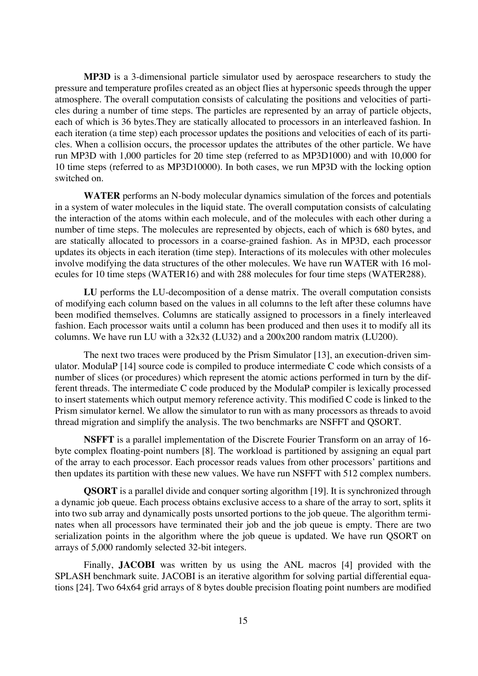**MP3D** is a 3-dimensional particle simulator used by aerospace researchers to study the pressure and temperature profiles created as an object flies at hypersonic speeds through the upper atmosphere. The overall computation consists of calculating the positions and velocities of particles during a number of time steps. The particles are represented by an array of particle objects, each of which is 36 bytes.They are statically allocated to processors in an interleaved fashion. In each iteration (a time step) each processor updates the positions and velocities of each of its particles. When a collision occurs, the processor updates the attributes of the other particle. We have run MP3D with 1,000 particles for 20 time step (referred to as MP3D1000) and with 10,000 for 10 time steps (referred to as MP3D10000). In both cases, we run MP3D with the locking option switched on.

**WATER** performs an N-body molecular dynamics simulation of the forces and potentials in a system of water molecules in the liquid state. The overall computation consists of calculating the interaction of the atoms within each molecule, and of the molecules with each other during a number of time steps. The molecules are represented by objects, each of which is 680 bytes, and are statically allocated to processors in a coarse-grained fashion. As in MP3D, each processor updates its objects in each iteration (time step). Interactions of its molecules with other molecules involve modifying the data structures of the other molecules. We have run WATER with 16 molecules for 10 time steps (WATER16) and with 288 molecules for four time steps (WATER288).

**LU** performs the LU-decomposition of a dense matrix. The overall computation consists of modifying each column based on the values in all columns to the left after these columns have been modified themselves. Columns are statically assigned to processors in a finely interleaved fashion. Each processor waits until a column has been produced and then uses it to modify all its columns. We have run LU with a 32x32 (LU32) and a 200x200 random matrix (LU200).

The next two traces were produced by the Prism Simulator [13], an execution-driven simulator. ModulaP [14] source code is compiled to produce intermediate C code which consists of a number of slices (or procedures) which represent the atomic actions performed in turn by the different threads. The intermediate C code produced by the ModulaP compiler is lexically processed to insert statements which output memory reference activity. This modified C code is linked to the Prism simulator kernel. We allow the simulator to run with as many processors as threads to avoid thread migration and simplify the analysis. The two benchmarks are NSFFT and QSORT.

**NSFFT** is a parallel implementation of the Discrete Fourier Transform on an array of 16 byte complex floating-point numbers [8]. The workload is partitioned by assigning an equal part of the array to each processor. Each processor reads values from other processors' partitions and then updates its partition with these new values. We have run NSFFT with 512 complex numbers.

**QSORT** is a parallel divide and conquer sorting algorithm [19]. It is synchronized through a dynamic job queue. Each process obtains exclusive access to a share of the array to sort, splits it into two sub array and dynamically posts unsorted portions to the job queue. The algorithm terminates when all processors have terminated their job and the job queue is empty. There are two serialization points in the algorithm where the job queue is updated. We have run QSORT on arrays of 5,000 randomly selected 32-bit integers.

Finally, **JACOBI** was written by us using the ANL macros [4] provided with the SPLASH benchmark suite. JACOBI is an iterative algorithm for solving partial differential equations [24]. Two 64x64 grid arrays of 8 bytes double precision floating point numbers are modified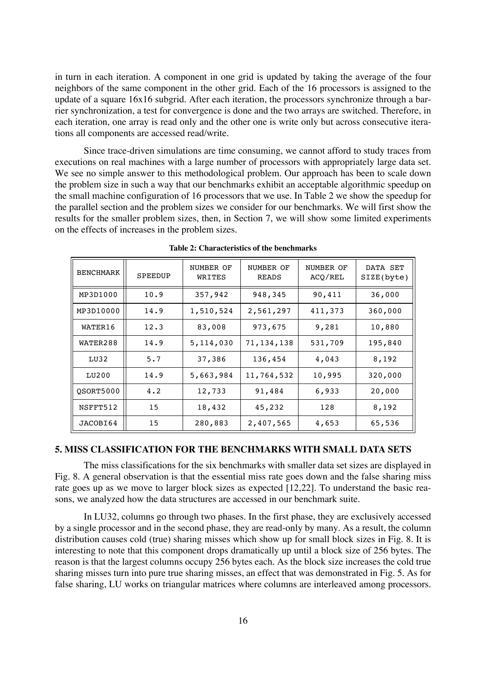in turn in each iteration. A component in one grid is updated by taking the average of the four neighbors of the same component in the other grid. Each of the 16 processors is assigned to the update of a square 16x16 subgrid. After each iteration, the processors synchronize through a barrier synchronization, a test for convergence is done and the two arrays are switched. Therefore, in each iteration, one array is read only and the other one is write only but across consecutive iterations all components are accessed read/write.

Since trace-driven simulations are time consuming, we cannot afford to study traces from executions on real machines with a large number of processors with appropriately large data set. We see no simple answer to this methodological problem. Our approach has been to scale down the problem size in such a way that our benchmarks exhibit an acceptable algorithmic speedup on the small machine configuration of 16 processors that we use. In Table 2 we show the speedup for the parallel section and the problem sizes we consider for our benchmarks. We will first show the results for the smaller problem sizes, then, in Section 7, we will show some limited experiments on the effects of increases in the problem sizes.

| <b>BENCHMARK</b>  | <b>SPEEDUP</b> | NUMBER OF<br>WRITES | <b>NUMBER OF</b><br><b>READS</b> | NUMBER OF<br>ACO/REL | DATA SET<br>SIZE(byte) |
|-------------------|----------------|---------------------|----------------------------------|----------------------|------------------------|
| MP3D1000          | 10.9           | 357,942             | 948,345                          | 90,411               | 36,000                 |
| MP3D10000         | 14.9           | 1,510,524           | 2,561,297                        | 411,373              | 360,000                |
| WATER16           | 12.3           | 83,008              | 973,675                          | 9,281                | 10,880                 |
| WATER288          | 14.9           | 5, 114, 030         | 71, 134, 138                     | 531,709              | 195,840                |
| L <sub>U</sub> 32 | 5.7            | 37,386              | 136,454                          | 4,043                | 8,192                  |
| LU200             | 14.9           | 5,663,984           | 11,764,532                       | 10,995               | 320,000                |
| OSORT5000         | 4.2            | 12,733              | 91,484                           | 6,933                | 20,000                 |
| NSFFT512          | 15             | 18,432              | 45,232                           | 128                  | 8,192                  |
| JACOBI64          | 15             | 280,883             | 2,407,565                        | 4,653                | 65,536                 |

**Table 2: Characteristics of the benchmarks**

### **5. MISS CLASSIFICATION FOR THE BENCHMARKS WITH SMALL DATA SETS**

The miss classifications for the six benchmarks with smaller data set sizes are displayed in Fig. 8. A general observation is that the essential miss rate goes down and the false sharing miss rate goes up as we move to larger block sizes as expected [12,22]. To understand the basic reasons, we analyzed how the data structures are accessed in our benchmark suite.

In LU32, columns go through two phases. In the first phase, they are exclusively accessed by a single processor and in the second phase, they are read-only by many. As a result, the column distribution causes cold (true) sharing misses which show up for small block sizes in Fig. 8. It is interesting to note that this component drops dramatically up until a block size of 256 bytes. The reason is that the largest columns occupy 256 bytes each. As the block size increases the cold true sharing misses turn into pure true sharing misses, an effect that was demonstrated in Fig. 5. As for false sharing, LU works on triangular matrices where columns are interleaved among processors.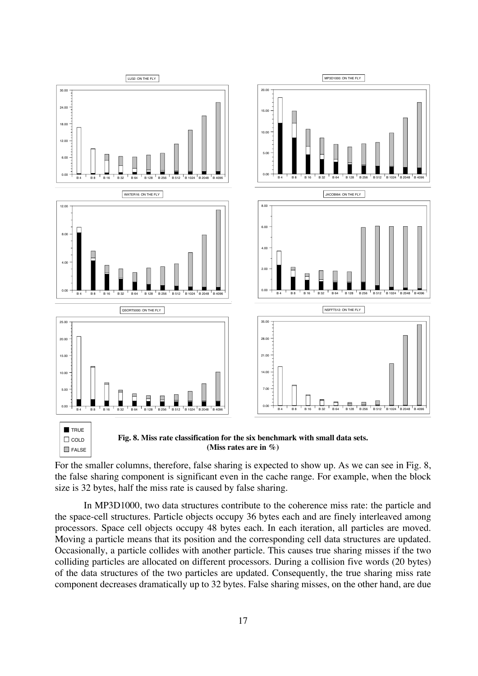

For the smaller columns, therefore, false sharing is expected to show up. As we can see in Fig. 8, the false sharing component is significant even in the cache range. For example, when the block size is 32 bytes, half the miss rate is caused by false sharing.

In MP3D1000, two data structures contribute to the coherence miss rate: the particle and the space-cell structures. Particle objects occupy 36 bytes each and are finely interleaved among processors. Space cell objects occupy 48 bytes each. In each iteration, all particles are moved. Moving a particle means that its position and the corresponding cell data structures are updated. Occasionally, a particle collides with another particle. This causes true sharing misses if the two colliding particles are allocated on different processors. During a collision five words (20 bytes) of the data structures of the two particles are updated. Consequently, the true sharing miss rate component decreases dramatically up to 32 bytes. False sharing misses, on the other hand, are due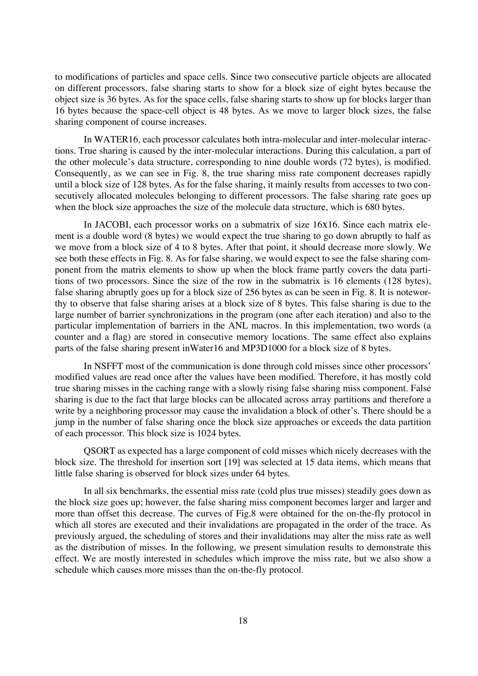to modifications of particles and space cells. Since two consecutive particle objects are allocated on different processors, false sharing starts to show for a block size of eight bytes because the object size is 36 bytes. As for the space cells, false sharing starts to show up for blocks larger than 16 bytes because the space-cell object is 48 bytes. As we move to larger block sizes, the false sharing component of course increases.

In WATER16, each processor calculates both intra-molecular and inter-molecular interactions. True sharing is caused by the inter-molecular interactions. During this calculation, a part of the other molecule's data structure, corresponding to nine double words (72 bytes), is modified. Consequently, as we can see in Fig. 8, the true sharing miss rate component decreases rapidly until a block size of 128 bytes. As for the false sharing, it mainly results from accesses to two consecutively allocated molecules belonging to different processors. The false sharing rate goes up when the block size approaches the size of the molecule data structure, which is 680 bytes.

In JACOBI, each processor works on a submatrix of size 16x16. Since each matrix element is a double word (8 bytes) we would expect the true sharing to go down abruptly to half as we move from a block size of 4 to 8 bytes. After that point, it should decrease more slowly. We see both these effects in Fig. 8. As for false sharing, we would expect to see the false sharing component from the matrix elements to show up when the block frame partly covers the data partitions of two processors. Since the size of the row in the submatrix is 16 elements (128 bytes), false sharing abruptly goes up for a block size of 256 bytes as can be seen in Fig. 8. It is noteworthy to observe that false sharing arises at a block size of 8 bytes. This false sharing is due to the large number of barrier synchronizations in the program (one after each iteration) and also to the particular implementation of barriers in the ANL macros. In this implementation, two words (a counter and a flag) are stored in consecutive memory locations. The same effect also explains parts of the false sharing present inWater16 and MP3D1000 for a block size of 8 bytes.

In NSFFT most of the communication is done through cold misses since other processors' modified values are read once after the values have been modified. Therefore, it has mostly cold true sharing misses in the caching range with a slowly rising false sharing miss component. False sharing is due to the fact that large blocks can be allocated across array partitions and therefore a write by a neighboring processor may cause the invalidation a block of other's. There should be a jump in the number of false sharing once the block size approaches or exceeds the data partition of each processor. This block size is 1024 bytes.

QSORT as expected has a large component of cold misses which nicely decreases with the block size. The threshold for insertion sort [19] was selected at 15 data items, which means that little false sharing is observed for block sizes under 64 bytes.

In all six benchmarks, the essential miss rate (cold plus true misses) steadily goes down as the block size goes up; however, the false sharing miss component becomes larger and larger and more than offset this decrease. The curves of Fig.8 were obtained for the on-the-fly protocol in which all stores are executed and their invalidations are propagated in the order of the trace. As previously argued, the scheduling of stores and their invalidations may alter the miss rate as well as the distribution of misses. In the following, we present simulation results to demonstrate this effect. We are mostly interested in schedules which improve the miss rate, but we also show a schedule which causes more misses than the on-the-fly protocol.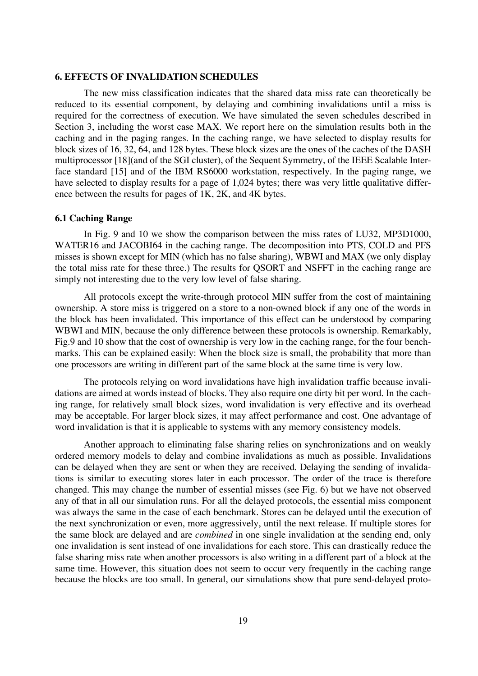#### **6. EFFECTS OF INVALIDATION SCHEDULES**

The new miss classification indicates that the shared data miss rate can theoretically be reduced to its essential component, by delaying and combining invalidations until a miss is required for the correctness of execution. We have simulated the seven schedules described in Section 3, including the worst case MAX. We report here on the simulation results both in the caching and in the paging ranges. In the caching range, we have selected to display results for block sizes of 16, 32, 64, and 128 bytes. These block sizes are the ones of the caches of the DASH multiprocessor [18](and of the SGI cluster), of the Sequent Symmetry, of the IEEE Scalable Interface standard [15] and of the IBM RS6000 workstation, respectively. In the paging range, we have selected to display results for a page of 1,024 bytes; there was very little qualitative difference between the results for pages of 1K, 2K, and 4K bytes.

## **6.1 Caching Range**

In Fig. 9 and 10 we show the comparison between the miss rates of LU32, MP3D1000, WATER16 and JACOBI64 in the caching range. The decomposition into PTS, COLD and PFS misses is shown except for MIN (which has no false sharing), WBWI and MAX (we only display the total miss rate for these three.) The results for QSORT and NSFFT in the caching range are simply not interesting due to the very low level of false sharing.

All protocols except the write-through protocol MIN suffer from the cost of maintaining ownership. A store miss is triggered on a store to a non-owned block if any one of the words in the block has been invalidated. This importance of this effect can be understood by comparing WBWI and MIN, because the only difference between these protocols is ownership. Remarkably, Fig.9 and 10 show that the cost of ownership is very low in the caching range, for the four benchmarks. This can be explained easily: When the block size is small, the probability that more than one processors are writing in different part of the same block at the same time is very low.

The protocols relying on word invalidations have high invalidation traffic because invalidations are aimed at words instead of blocks. They also require one dirty bit per word. In the caching range, for relatively small block sizes, word invalidation is very effective and its overhead may be acceptable. For larger block sizes, it may affect performance and cost. One advantage of word invalidation is that it is applicable to systems with any memory consistency models.

Another approach to eliminating false sharing relies on synchronizations and on weakly ordered memory models to delay and combine invalidations as much as possible. Invalidations can be delayed when they are sent or when they are received. Delaying the sending of invalidations is similar to executing stores later in each processor. The order of the trace is therefore changed. This may change the number of essential misses (see Fig. 6) but we have not observed any of that in all our simulation runs. For all the delayed protocols, the essential miss component was always the same in the case of each benchmark. Stores can be delayed until the execution of the next synchronization or even, more aggressively, until the next release. If multiple stores for the same block are delayed and are *combined* in one single invalidation at the sending end, only one invalidation is sent instead of one invalidations for each store. This can drastically reduce the false sharing miss rate when another processors is also writing in a different part of a block at the same time. However, this situation does not seem to occur very frequently in the caching range because the blocks are too small. In general, our simulations show that pure send-delayed proto-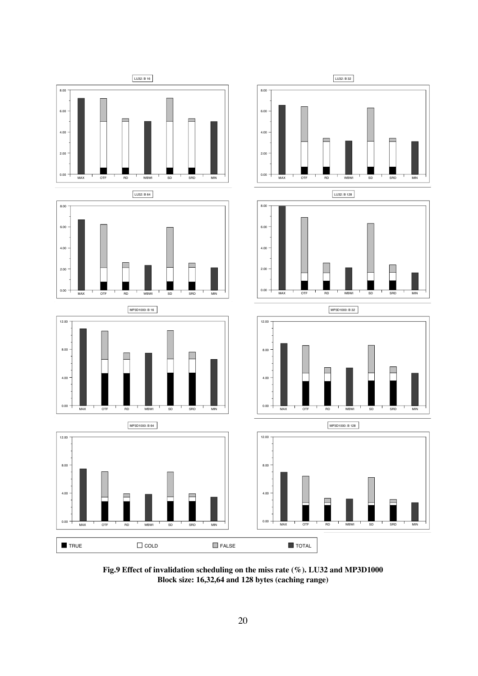

**Fig.9 Effect of invalidation scheduling on the miss rate (%). LU32 and MP3D1000 Block size: 16,32,64 and 128 bytes (caching range)**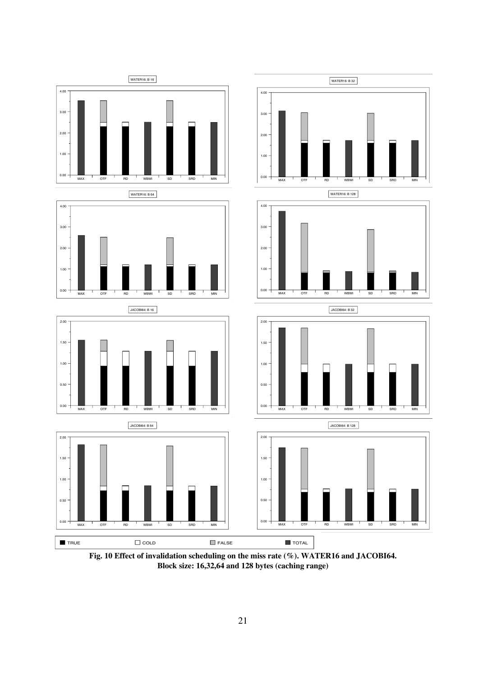

**Fig. 10 Effect of invalidation scheduling on the miss rate (%). WATER16 and JACOBI64. Block size: 16,32,64 and 128 bytes (caching range)**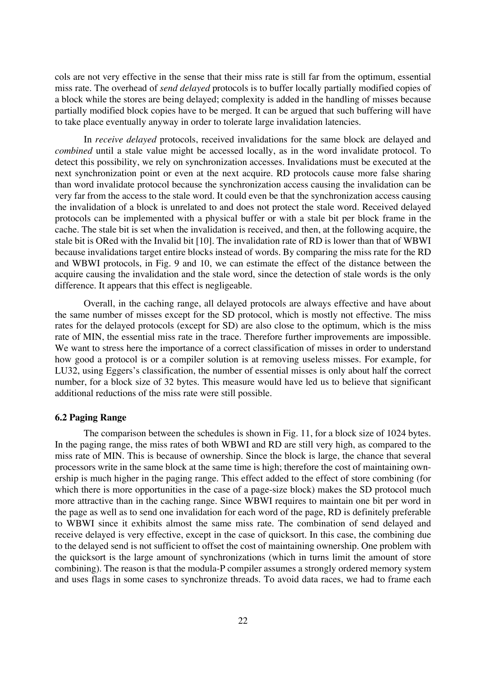cols are not very effective in the sense that their miss rate is still far from the optimum, essential miss rate. The overhead of *send delayed* protocols is to buffer locally partially modified copies of a block while the stores are being delayed; complexity is added in the handling of misses because partially modified block copies have to be merged. It can be argued that such buffering will have to take place eventually anyway in order to tolerate large invalidation latencies.

In *receive delayed* protocols, received invalidations for the same block are delayed and *combined* until a stale value might be accessed locally, as in the word invalidate protocol. To detect this possibility, we rely on synchronization accesses. Invalidations must be executed at the next synchronization point or even at the next acquire. RD protocols cause more false sharing than word invalidate protocol because the synchronization access causing the invalidation can be very far from the access to the stale word. It could even be that the synchronization access causing the invalidation of a block is unrelated to and does not protect the stale word. Received delayed protocols can be implemented with a physical buffer or with a stale bit per block frame in the cache. The stale bit is set when the invalidation is received, and then, at the following acquire, the stale bit is ORed with the Invalid bit [10]. The invalidation rate of RD is lower than that of WBWI because invalidations target entire blocks instead of words. By comparing the miss rate for the RD and WBWI protocols, in Fig. 9 and 10, we can estimate the effect of the distance between the acquire causing the invalidation and the stale word, since the detection of stale words is the only difference. It appears that this effect is negligeable.

Overall, in the caching range, all delayed protocols are always effective and have about the same number of misses except for the SD protocol, which is mostly not effective. The miss rates for the delayed protocols (except for SD) are also close to the optimum, which is the miss rate of MIN, the essential miss rate in the trace. Therefore further improvements are impossible. We want to stress here the importance of a correct classification of misses in order to understand how good a protocol is or a compiler solution is at removing useless misses. For example, for LU32, using Eggers's classification, the number of essential misses is only about half the correct number, for a block size of 32 bytes. This measure would have led us to believe that significant additional reductions of the miss rate were still possible.

# **6.2 Paging Range**

The comparison between the schedules is shown in Fig. 11, for a block size of 1024 bytes. In the paging range, the miss rates of both WBWI and RD are still very high, as compared to the miss rate of MIN. This is because of ownership. Since the block is large, the chance that several processors write in the same block at the same time is high; therefore the cost of maintaining ownership is much higher in the paging range. This effect added to the effect of store combining (for which there is more opportunities in the case of a page-size block) makes the SD protocol much more attractive than in the caching range. Since WBWI requires to maintain one bit per word in the page as well as to send one invalidation for each word of the page, RD is definitely preferable to WBWI since it exhibits almost the same miss rate. The combination of send delayed and receive delayed is very effective, except in the case of quicksort. In this case, the combining due to the delayed send is not sufficient to offset the cost of maintaining ownership. One problem with the quicksort is the large amount of synchronizations (which in turns limit the amount of store combining). The reason is that the modula-P compiler assumes a strongly ordered memory system and uses flags in some cases to synchronize threads. To avoid data races, we had to frame each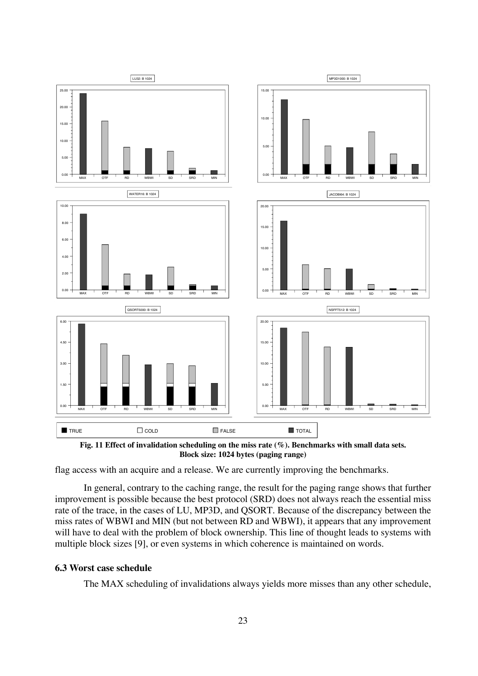

**Fig. 11 Effect of invalidation scheduling on the miss rate (%). Benchmarks with small data sets. Block size: 1024 bytes (paging range)**

flag access with an acquire and a release. We are currently improving the benchmarks.

In general, contrary to the caching range, the result for the paging range shows that further improvement is possible because the best protocol (SRD) does not always reach the essential miss rate of the trace, in the cases of LU, MP3D, and QSORT. Because of the discrepancy between the miss rates of WBWI and MIN (but not between RD and WBWI), it appears that any improvement will have to deal with the problem of block ownership. This line of thought leads to systems with multiple block sizes [9], or even systems in which coherence is maintained on words.

# **6.3 Worst case schedule**

The MAX scheduling of invalidations always yields more misses than any other schedule,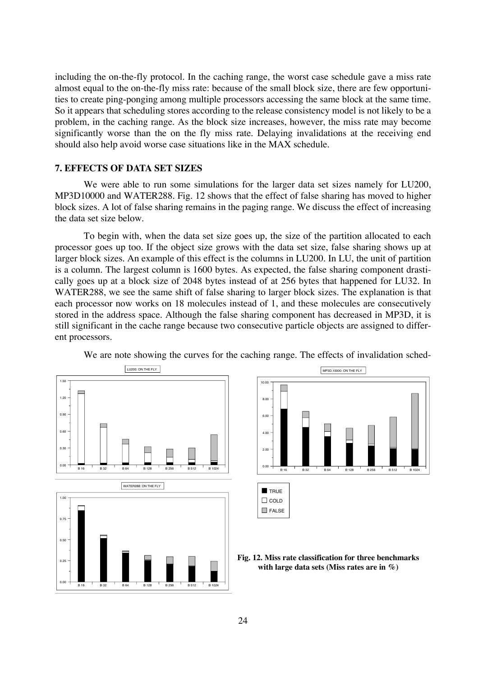including the on-the-fly protocol. In the caching range, the worst case schedule gave a miss rate almost equal to the on-the-fly miss rate: because of the small block size, there are few opportunities to create ping-ponging among multiple processors accessing the same block at the same time. So it appears that scheduling stores according to the release consistency model is not likely to be a problem, in the caching range. As the block size increases, however, the miss rate may become significantly worse than the on the fly miss rate. Delaying invalidations at the receiving end should also help avoid worse case situations like in the MAX schedule.

# **7. EFFECTS OF DATA SET SIZES**

We were able to run some simulations for the larger data set sizes namely for LU200, MP3D10000 and WATER288. Fig. 12 shows that the effect of false sharing has moved to higher block sizes. A lot of false sharing remains in the paging range. We discuss the effect of increasing the data set size below.

To begin with, when the data set size goes up, the size of the partition allocated to each processor goes up too. If the object size grows with the data set size, false sharing shows up at larger block sizes. An example of this effect is the columns in LU200. In LU, the unit of partition is a column. The largest column is 1600 bytes. As expected, the false sharing component drastically goes up at a block size of 2048 bytes instead of at 256 bytes that happened for LU32. In WATER288, we see the same shift of false sharing to larger block sizes. The explanation is that each processor now works on 18 molecules instead of 1, and these molecules are consecutively stored in the address space. Although the false sharing component has decreased in MP3D, it is still significant in the cache range because two consecutive particle objects are assigned to different processors.



B 16 B 32 B 64 B 128 B 256 B 512 B 1024

0.00

0.25

0.50

We are note showing the curves for the caching range. The effects of invalidation sched-



**Fig. 12. Miss rate classification for three benchmarks with large data sets (Miss rates are in %)**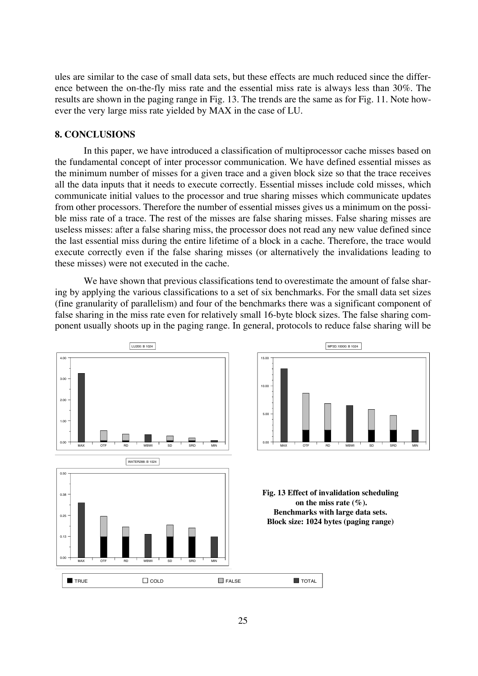ules are similar to the case of small data sets, but these effects are much reduced since the difference between the on-the-fly miss rate and the essential miss rate is always less than 30%. The results are shown in the paging range in Fig. 13. The trends are the same as for Fig. 11. Note however the very large miss rate yielded by MAX in the case of LU.

#### **8. CONCLUSIONS**

In this paper, we have introduced a classification of multiprocessor cache misses based on the fundamental concept of inter processor communication. We have defined essential misses as the minimum number of misses for a given trace and a given block size so that the trace receives all the data inputs that it needs to execute correctly. Essential misses include cold misses, which communicate initial values to the processor and true sharing misses which communicate updates from other processors. Therefore the number of essential misses gives us a minimum on the possible miss rate of a trace. The rest of the misses are false sharing misses. False sharing misses are useless misses: after a false sharing miss, the processor does not read any new value defined since the last essential miss during the entire lifetime of a block in a cache. Therefore, the trace would execute correctly even if the false sharing misses (or alternatively the invalidations leading to these misses) were not executed in the cache.

We have shown that previous classifications tend to overestimate the amount of false sharing by applying the various classifications to a set of six benchmarks. For the small data set sizes (fine granularity of parallelism) and four of the benchmarks there was a significant component of false sharing in the miss rate even for relatively small 16-byte block sizes. The false sharing component usually shoots up in the paging range. In general, protocols to reduce false sharing will be

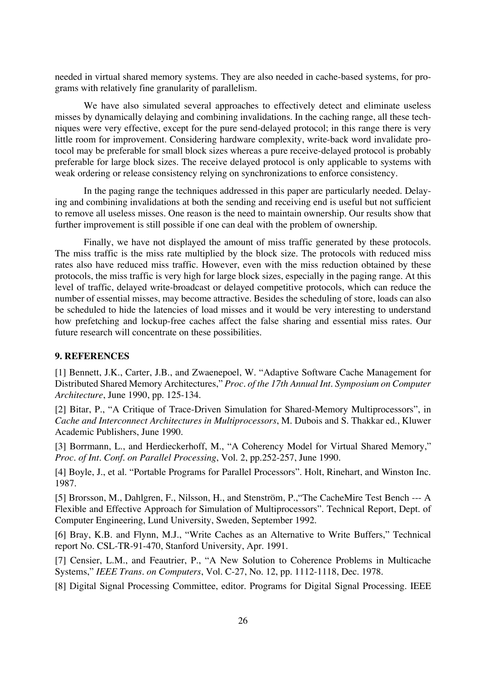needed in virtual shared memory systems. They are also needed in cache-based systems, for programs with relatively fine granularity of parallelism.

We have also simulated several approaches to effectively detect and eliminate useless misses by dynamically delaying and combining invalidations. In the caching range, all these techniques were very effective, except for the pure send-delayed protocol; in this range there is very little room for improvement. Considering hardware complexity, write-back word invalidate protocol may be preferable for small block sizes whereas a pure receive-delayed protocol is probably preferable for large block sizes. The receive delayed protocol is only applicable to systems with weak ordering or release consistency relying on synchronizations to enforce consistency.

In the paging range the techniques addressed in this paper are particularly needed. Delaying and combining invalidations at both the sending and receiving end is useful but not sufficient to remove all useless misses. One reason is the need to maintain ownership. Our results show that further improvement is still possible if one can deal with the problem of ownership.

Finally, we have not displayed the amount of miss traffic generated by these protocols. The miss traffic is the miss rate multiplied by the block size. The protocols with reduced miss rates also have reduced miss traffic. However, even with the miss reduction obtained by these protocols, the miss traffic is very high for large block sizes, especially in the paging range. At this level of traffic, delayed write-broadcast or delayed competitive protocols, which can reduce the number of essential misses, may become attractive. Besides the scheduling of store, loads can also be scheduled to hide the latencies of load misses and it would be very interesting to understand how prefetching and lockup-free caches affect the false sharing and essential miss rates. Our future research will concentrate on these possibilities.

# **9. REFERENCES**

[1] Bennett, J.K., Carter, J.B., and Zwaenepoel, W. "Adaptive Software Cache Management for Distributed Shared Memory Architectures," *Proc. of the 17th Annual Int. Symposium on Computer Architecture*, June 1990, pp. 125-134.

[2] Bitar, P., "A Critique of Trace-Driven Simulation for Shared-Memory Multiprocessors", in *Cache and Interconnect Architectures in Multiprocessors*, M. Dubois and S. Thakkar ed., Kluwer Academic Publishers, June 1990.

[3] Borrmann, L., and Herdieckerhoff, M., "A Coherency Model for Virtual Shared Memory," *Proc. of Int. Conf. on Parallel Processing*, Vol. 2, pp.252-257, June 1990.

[4] Boyle, J., et al. "Portable Programs for Parallel Processors". Holt, Rinehart, and Winston Inc. 1987.

[5] Brorsson, M., Dahlgren, F., Nilsson, H., and Stenström, P.,"The CacheMire Test Bench --- A Flexible and Effective Approach for Simulation of Multiprocessors". Technical Report, Dept. of Computer Engineering, Lund University, Sweden, September 1992.

[6] Bray, K.B. and Flynn, M.J., "Write Caches as an Alternative to Write Buffers," Technical report No. CSL-TR-91-470, Stanford University, Apr. 1991.

[7] Censier, L.M., and Feautrier, P., "A New Solution to Coherence Problems in Multicache Systems," *IEEE Trans. on Computers*, Vol. C-27, No. 12, pp. 1112-1118, Dec. 1978.

[8] Digital Signal Processing Committee, editor. Programs for Digital Signal Processing. IEEE